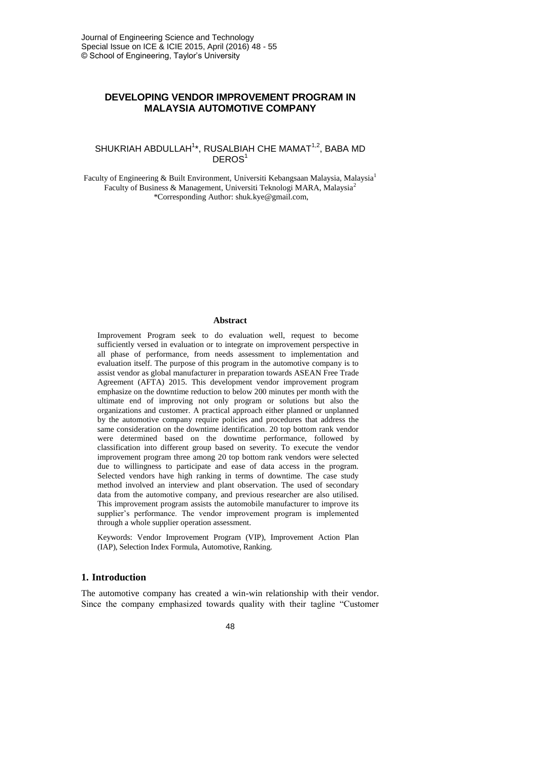# **DEVELOPING VENDOR IMPROVEMENT PROGRAM IN MALAYSIA AUTOMOTIVE COMPANY**

## SHUKRIAH ABDULLAH<sup>1</sup>\*, RUSALBIAH CHE MAMAT<sup>1,2</sup>, BABA MD DEROS<sup>1</sup>

Faculty of Engineering & Built Environment, Universiti Kebangsaan Malaysia, Malaysia<sup>1</sup> Faculty of Business & Management, Universiti Teknologi MARA, Malaysia<sup>2</sup> \*Corresponding Author: shuk.kye@gmail.com,

### **Abstract**

Improvement Program seek to do evaluation well, request to become sufficiently versed in evaluation or to integrate on improvement perspective in all phase of performance, from needs assessment to implementation and evaluation itself. The purpose of this program in the automotive company is to assist vendor as global manufacturer in preparation towards ASEAN Free Trade Agreement (AFTA) 2015. This development vendor improvement program emphasize on the downtime reduction to below 200 minutes per month with the ultimate end of improving not only program or solutions but also the organizations and customer. A practical approach either planned or unplanned by the automotive company require policies and procedures that address the same consideration on the downtime identification. 20 top bottom rank vendor were determined based on the downtime performance, followed by classification into different group based on severity. To execute the vendor improvement program three among 20 top bottom rank vendors were selected due to willingness to participate and ease of data access in the program. Selected vendors have high ranking in terms of downtime. The case study method involved an interview and plant observation. The used of secondary data from the automotive company, and previous researcher are also utilised. This improvement program assists the automobile manufacturer to improve its supplier's performance. The vendor improvement program is implemented through a whole supplier operation assessment.

Keywords: Vendor Improvement Program (VIP), Improvement Action Plan (IAP), Selection Index Formula, Automotive, Ranking.

### **1. Introduction**

The automotive company has created a win-win relationship with their vendor. Since the company emphasized towards quality with their tagline "Customer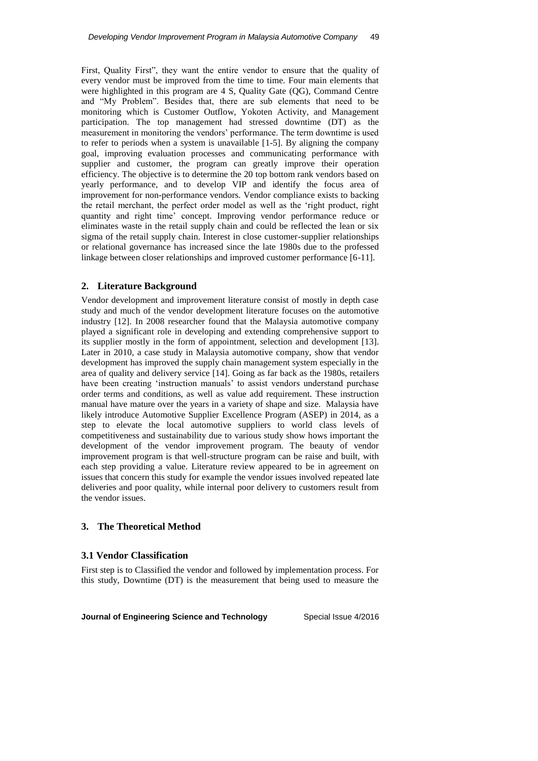First, Quality First", they want the entire vendor to ensure that the quality of every vendor must be improved from the time to time. Four main elements that were highlighted in this program are 4 S, Quality Gate (QG), Command Centre and "My Problem". Besides that, there are sub elements that need to be monitoring which is Customer Outflow, Yokoten Activity, and Management participation. The top management had stressed downtime (DT) as the measurement in monitoring the vendors' performance. The term downtime is used to refer to periods when a system is unavailable [1-5]. By aligning the company goal, improving evaluation processes and communicating performance with supplier and customer, the program can greatly improve their operation efficiency. The objective is to determine the 20 top bottom rank vendors based on yearly performance, and to develop VIP and identify the focus area of improvement for non-performance vendors. Vendor compliance exists to backing the retail merchant, the perfect order model as well as the 'right product, right quantity and right time' concept. Improving vendor performance reduce or eliminates waste in the retail supply chain and could be reflected the lean or six sigma of the retail supply chain. Interest in close customer-supplier relationships or relational governance has increased since the late 1980s due to the professed linkage between closer relationships and improved customer performance [6-11].

## **2. Literature Background**

Vendor development and improvement literature consist of mostly in depth case study and much of the vendor development literature focuses on the automotive industry [12]. In 2008 researcher found that the Malaysia automotive company played a significant role in developing and extending comprehensive support to its supplier mostly in the form of appointment, selection and development [13]. Later in 2010, a case study in Malaysia automotive company, show that vendor development has improved the supply chain management system especially in the area of quality and delivery service [14]. Going as far back as the 1980s, retailers have been creating 'instruction manuals' to assist vendors understand purchase order terms and conditions, as well as value add requirement. These instruction manual have mature over the years in a variety of shape and size. Malaysia have likely introduce Automotive Supplier Excellence Program (ASEP) in 2014, as a step to elevate the local automotive suppliers to world class levels of competitiveness and sustainability due to various study show hows important the development of the vendor improvement program. The beauty of vendor improvement program is that well-structure program can be raise and built, with each step providing a value. Literature review appeared to be in agreement on issues that concern this study for example the vendor issues involved repeated late deliveries and poor quality, while internal poor delivery to customers result from the vendor issues.

## **3. The Theoretical Method**

## **3.1 Vendor Classification**

First step is to Classified the vendor and followed by implementation process. For this study, Downtime (DT) is the measurement that being used to measure the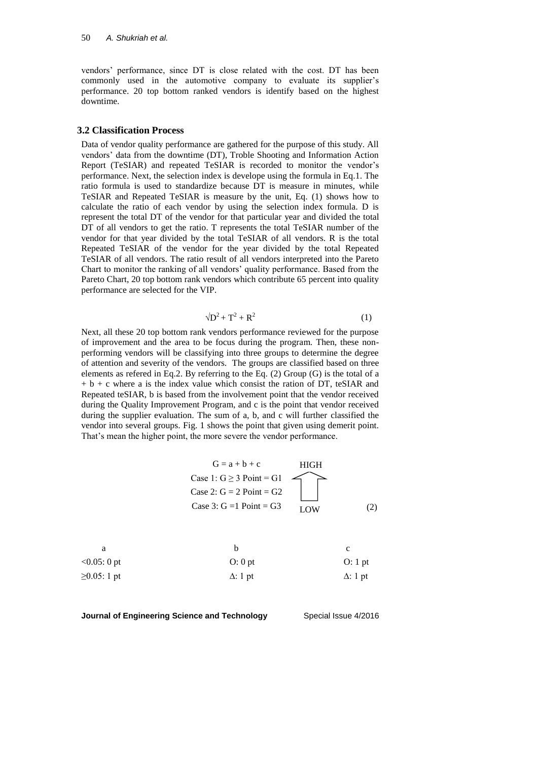vendors' performance, since DT is close related with the cost. DT has been commonly used in the automotive company to evaluate its supplier's performance. 20 top bottom ranked vendors is identify based on the highest downtime.

### **3.2 Classification Process**

Data of vendor quality performance are gathered for the purpose of this study. All vendors' data from the downtime (DT), Troble Shooting and Information Action Report (TeSIAR) and repeated TeSIAR is recorded to monitor the vendor's performance. Next, the selection index is develope using the formula in Eq.1. The ratio formula is used to standardize because DT is measure in minutes, while TeSIAR and Repeated TeSIAR is measure by the unit, Eq. (1) shows how to calculate the ratio of each vendor by using the selection index formula. D is represent the total DT of the vendor for that particular year and divided the total DT of all vendors to get the ratio. T represents the total TeSIAR number of the vendor for that year divided by the total TeSIAR of all vendors. R is the total Repeated TeSIAR of the vendor for the year divided by the total Repeated TeSIAR of all vendors. The ratio result of all vendors interpreted into the Pareto Chart to monitor the ranking of all vendors' quality performance. Based from the Pareto Chart, 20 top bottom rank vendors which contribute 65 percent into quality performance are selected for the VIP.

$$
\sqrt{D^2 + T^2 + R^2} \tag{1}
$$

Next, all these 20 top bottom rank vendors performance reviewed for the purpose of improvement and the area to be focus during the program. Then, these nonperforming vendors will be classifying into three groups to determine the degree of attention and severity of the vendors. The groups are classified based on three elements as refered in Eq.2. By referring to the Eq. (2) Group (G) is the total of a  $+ b + c$  where a is the index value which consist the ration of DT, teSIAR and Repeated teSIAR, b is based from the involvement point that the vendor received during the Quality Improvement Program, and c is the point that vendor received during the supplier evaluation. The sum of a, b, and c will further classified the vendor into several groups. Fig. 1 shows the point that given using demerit point. That's mean the higher point, the more severe the vendor performance.

$$
G = a + b + c
$$

| $<0.05:0$ pt   | $O: 0$ pt       | O: 1 pt         |
|----------------|-----------------|-----------------|
| $≥0.05$ : 1 pt | $\Delta$ : 1 pt | $\Delta$ : 1 pt |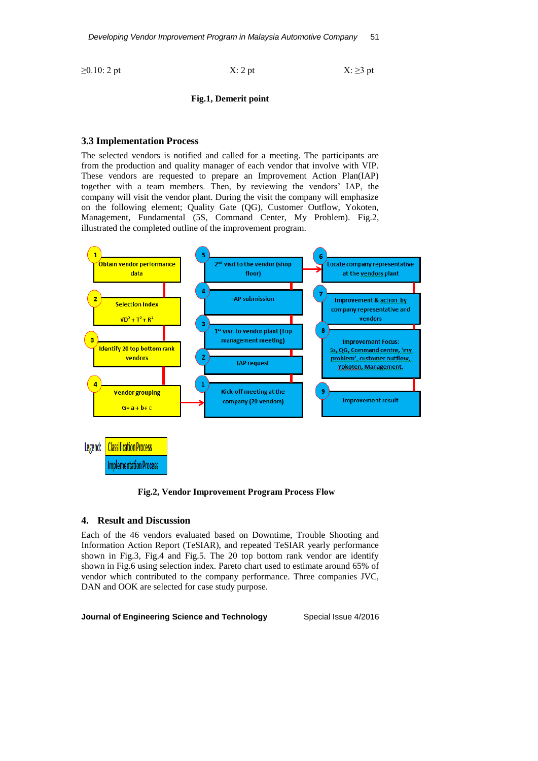$\geq 0.10$ : 2 pt  $X: 2$  pt  $X: 2$  pt  $X: \geq 3$  pt

$$
2 pt
$$

**Fig.1, Demerit point**

## **3.3 Implementation Process**

The selected vendors is notified and called for a meeting. The participants are from the production and quality manager of each vendor that involve with VIP. These vendors are requested to prepare an Improvement Action Plan(IAP) together with a team members. Then, by reviewing the vendors' IAP, the company will visit the vendor plant. During the visit the company will emphasize on the following element; Quality Gate (QG), Customer Outflow, Yokoten, Management, Fundamental (5S, Command Center, My Problem). Fig.2, illustrated the completed outline of the improvement program.



**Fig.2, Vendor Improvement Program Process Flow**

## **4. Result and Discussion**

Each of the 46 vendors evaluated based on Downtime, Trouble Shooting and Information Action Report (TeSIAR), and repeated TeSIAR yearly performance shown in Fig.3, Fig.4 and Fig.5. The 20 top bottom rank vendor are identify shown in Fig.6 using selection index. Pareto chart used to estimate around 65% of vendor which contributed to the company performance. Three companies JVC, DAN and OOK are selected for case study purpose.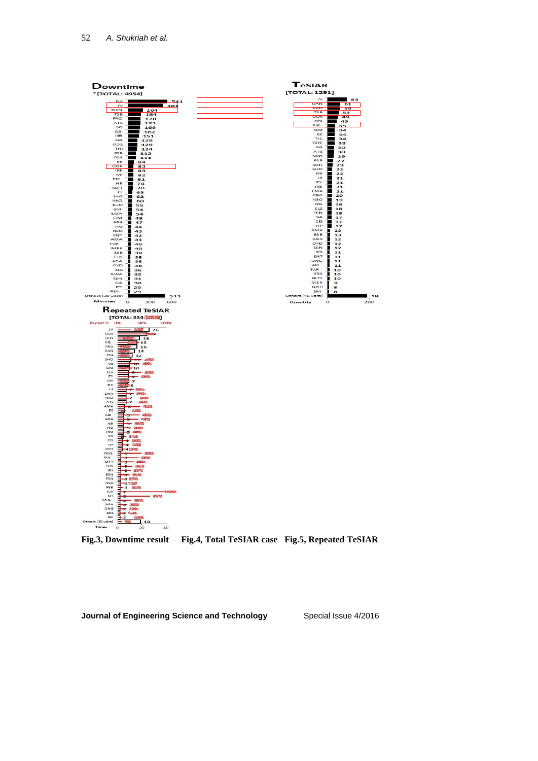

**Fig.3, Downtime result Fig.4, Total TeSIAR case Fig.5, Repeated TeSIAR**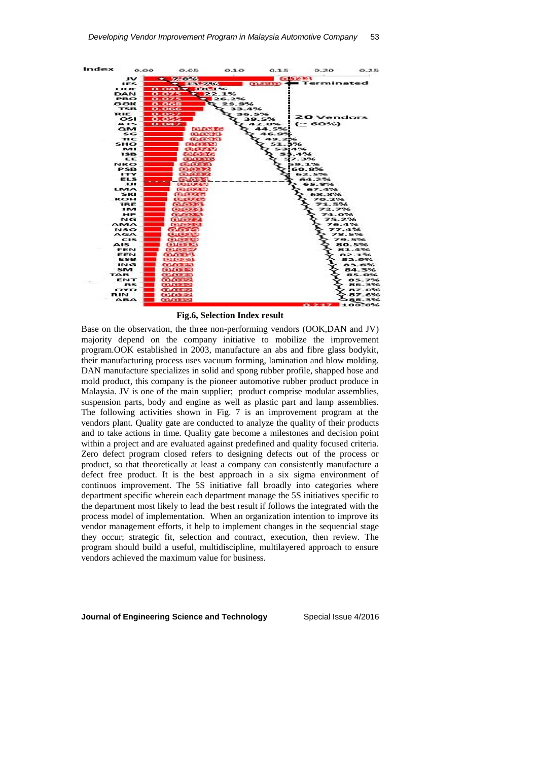

**Fig.6, Selection Index result**

Base on the observation, the three non-performing vendors (OOK,DAN and JV) majority depend on the company initiative to mobilize the improvement program.OOK established in 2003, manufacture an abs and fibre glass bodykit, their manufacturing process uses vacuum forming, lamination and blow molding. DAN manufacture specializes in solid and spong rubber profile, shapped hose and mold product, this company is the pioneer automotive rubber product produce in Malaysia. JV is one of the main supplier; product comprise modular assemblies, suspension parts, body and engine as well as plastic part and lamp assemblies. The following activities shown in Fig. 7 is an improvement program at the vendors plant. Quality gate are conducted to analyze the quality of their products and to take actions in time. Quality gate become a milestones and decision point within a project and are evaluated against predefined and quality focused criteria. Zero defect program closed refers to designing defects out of the process or product, so that theoretically at least a company can consistently manufacture a defect free product. It is the best approach in a six sigma environment of continuos improvement. The 5S initiative fall broadly into categories where department specific wherein each department manage the 5S initiatives specific to the department most likely to lead the best result if follows the integrated with the process model of implementation. When an organization intention to improve its vendor management efforts, it help to implement changes in the sequencial stage they occur; strategic fit, selection and contract, execution, then review. The program should build a useful, multidiscipline, multilayered approach to ensure vendors achieved the maximum value for business.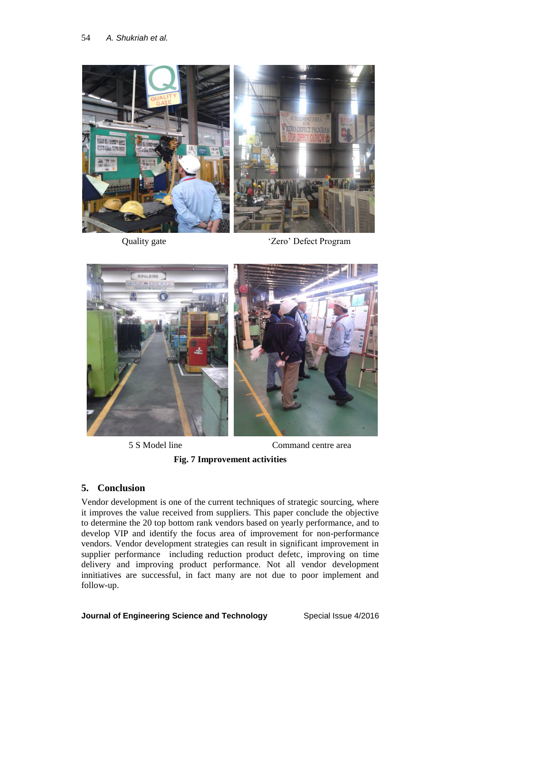

Quality gate 'Zero' Defect Program



5 S Model line Command centre area

# **Fig. 7 Improvement activities**

# **5. Conclusion**

Vendor development is one of the current techniques of strategic sourcing, where it improves the value received from suppliers. This paper conclude the objective to determine the 20 top bottom rank vendors based on yearly performance, and to develop VIP and identify the focus area of improvement for non-performance vendors. Vendor development strategies can result in significant improvement in supplier performance including reduction product defetc, improving on time delivery and improving product performance. Not all vendor development innitiatives are successful, in fact many are not due to poor implement and follow-up.